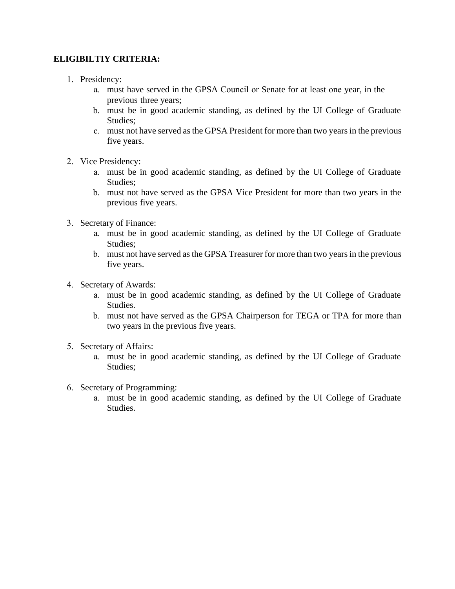## **ELIGIBILTIY CRITERIA:**

- 1. Presidency:
	- a. must have served in the GPSA Council or Senate for at least one year, in the previous three years;
	- b. must be in good academic standing, as defined by the UI College of Graduate Studies;
	- c. must not have served as the GPSA President for more than two years in the previous five years.
- 2. Vice Presidency:
	- a. must be in good academic standing, as defined by the UI College of Graduate Studies;
	- b. must not have served as the GPSA Vice President for more than two years in the previous five years.
- 3. Secretary of Finance:
	- a. must be in good academic standing, as defined by the UI College of Graduate Studies;
	- b. must not have served as the GPSA Treasurer for more than two years in the previous five years.
- 4. Secretary of Awards:
	- a. must be in good academic standing, as defined by the UI College of Graduate Studies.
	- b. must not have served as the GPSA Chairperson for TEGA or TPA for more than two years in the previous five years.
- 5. Secretary of Affairs:
	- a. must be in good academic standing, as defined by the UI College of Graduate Studies;
- 6. Secretary of Programming:
	- a. must be in good academic standing, as defined by the UI College of Graduate Studies.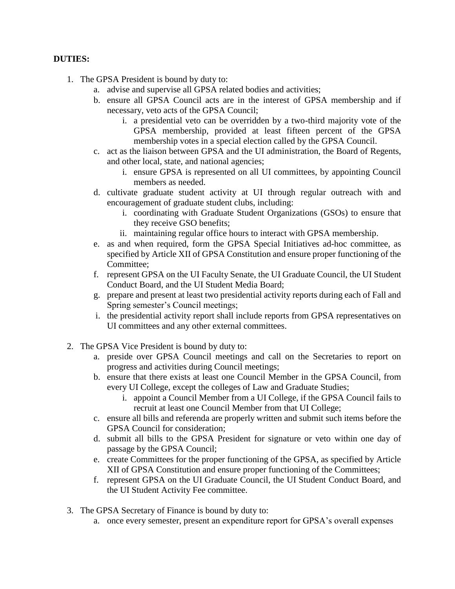## **DUTIES:**

- 1. The GPSA President is bound by duty to:
	- a. advise and supervise all GPSA related bodies and activities;
	- b. ensure all GPSA Council acts are in the interest of GPSA membership and if necessary, veto acts of the GPSA Council;
		- i. a presidential veto can be overridden by a two-third majority vote of the GPSA membership, provided at least fifteen percent of the GPSA membership votes in a special election called by the GPSA Council.
	- c. act as the liaison between GPSA and the UI administration, the Board of Regents, and other local, state, and national agencies;
		- i. ensure GPSA is represented on all UI committees, by appointing Council members as needed.
	- d. cultivate graduate student activity at UI through regular outreach with and encouragement of graduate student clubs, including:
		- i. coordinating with Graduate Student Organizations (GSOs) to ensure that they receive GSO benefits;
		- ii. maintaining regular office hours to interact with GPSA membership.
	- e. as and when required, form the GPSA Special Initiatives ad-hoc committee, as specified by Article XII of GPSA Constitution and ensure proper functioning of the Committee;
	- f. represent GPSA on the UI Faculty Senate, the UI Graduate Council, the UI Student Conduct Board, and the UI Student Media Board;
	- g. prepare and present at least two presidential activity reports during each of Fall and Spring semester's Council meetings;
	- i. the presidential activity report shall include reports from GPSA representatives on UI committees and any other external committees.
- 2. The GPSA Vice President is bound by duty to:
	- a. preside over GPSA Council meetings and call on the Secretaries to report on progress and activities during Council meetings;
	- b. ensure that there exists at least one Council Member in the GPSA Council, from every UI College, except the colleges of Law and Graduate Studies;
		- i. appoint a Council Member from a UI College, if the GPSA Council fails to recruit at least one Council Member from that UI College;
	- c. ensure all bills and referenda are properly written and submit such items before the GPSA Council for consideration;
	- d. submit all bills to the GPSA President for signature or veto within one day of passage by the GPSA Council;
	- e. create Committees for the proper functioning of the GPSA, as specified by Article XII of GPSA Constitution and ensure proper functioning of the Committees;
	- f. represent GPSA on the UI Graduate Council, the UI Student Conduct Board, and the UI Student Activity Fee committee.
- 3. The GPSA Secretary of Finance is bound by duty to:
	- a. once every semester, present an expenditure report for GPSA's overall expenses